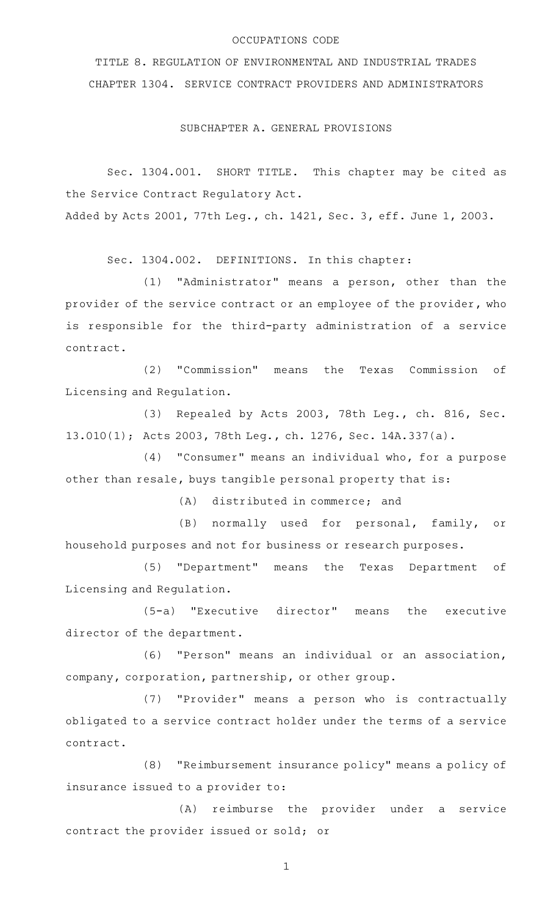#### OCCUPATIONS CODE

TITLE 8. REGULATION OF ENVIRONMENTAL AND INDUSTRIAL TRADES CHAPTER 1304. SERVICE CONTRACT PROVIDERS AND ADMINISTRATORS

SUBCHAPTER A. GENERAL PROVISIONS

Sec. 1304.001. SHORT TITLE. This chapter may be cited as the Service Contract Regulatory Act. Added by Acts 2001, 77th Leg., ch. 1421, Sec. 3, eff. June 1, 2003.

Sec. 1304.002. DEFINITIONS. In this chapter:

(1) "Administrator" means a person, other than the provider of the service contract or an employee of the provider, who is responsible for the third-party administration of a service contract.

(2) "Commission" means the Texas Commission of Licensing and Regulation.

(3) Repealed by Acts 2003, 78th Leg., ch. 816, Sec. 13.010(1); Acts 2003, 78th Leg., ch. 1276, Sec. 14A.337(a).

 $(4)$  "Consumer" means an individual who, for a purpose other than resale, buys tangible personal property that is:

(A) distributed in commerce; and

(B) normally used for personal, family, or household purposes and not for business or research purposes.

(5) "Department" means the Texas Department of Licensing and Regulation.

(5-a) "Executive director" means the executive director of the department.

(6) "Person" means an individual or an association, company, corporation, partnership, or other group.

(7) "Provider" means a person who is contractually obligated to a service contract holder under the terms of a service contract.

(8) "Reimbursement insurance policy" means a policy of insurance issued to a provider to:

(A) reimburse the provider under a service contract the provider issued or sold; or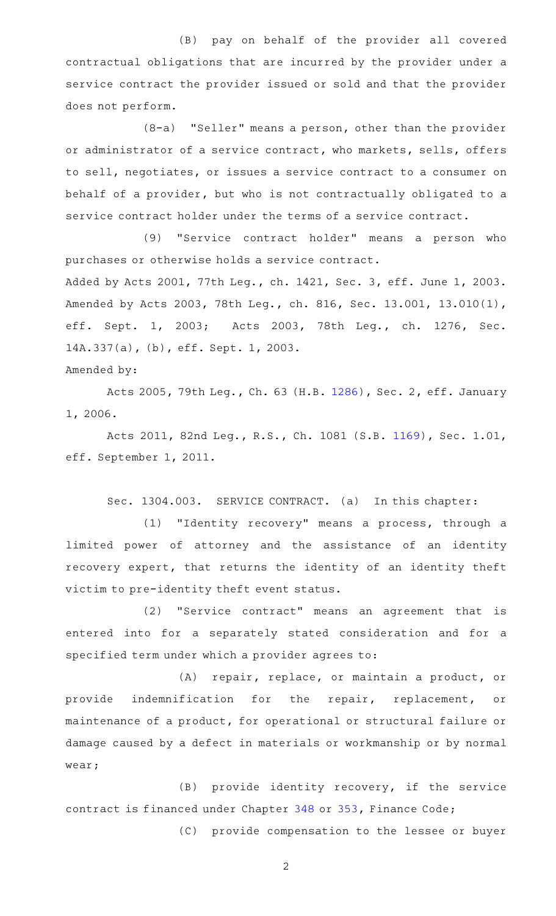(B) pay on behalf of the provider all covered contractual obligations that are incurred by the provider under a service contract the provider issued or sold and that the provider does not perform.

 $(8-a)$  "Seller" means a person, other than the provider or administrator of a service contract, who markets, sells, offers to sell, negotiates, or issues a service contract to a consumer on behalf of a provider, but who is not contractually obligated to a service contract holder under the terms of a service contract.

(9) "Service contract holder" means a person who purchases or otherwise holds a service contract. Added by Acts 2001, 77th Leg., ch. 1421, Sec. 3, eff. June 1, 2003. Amended by Acts 2003, 78th Leg., ch. 816, Sec. 13.001, 13.010(1), eff. Sept. 1, 2003; Acts 2003, 78th Leg., ch. 1276, Sec. 14A.337(a), (b), eff. Sept. 1, 2003.

Amended by:

Acts 2005, 79th Leg., Ch. 63 (H.B. [1286](http://www.legis.state.tx.us/tlodocs/79R/billtext/html/HB01286F.HTM)), Sec. 2, eff. January 1, 2006.

Acts 2011, 82nd Leg., R.S., Ch. 1081 (S.B. [1169](http://www.legis.state.tx.us/tlodocs/82R/billtext/html/SB01169F.HTM)), Sec. 1.01, eff. September 1, 2011.

Sec. 1304.003. SERVICE CONTRACT. (a) In this chapter:

(1) "Identity recovery" means a process, through a limited power of attorney and the assistance of an identity recovery expert, that returns the identity of an identity theft victim to pre-identity theft event status.

(2) "Service contract" means an agreement that is entered into for a separately stated consideration and for a specified term under which a provider agrees to:

(A) repair, replace, or maintain a product, or provide indemnification for the repair, replacement, or maintenance of a product, for operational or structural failure or damage caused by a defect in materials or workmanship or by normal wear;

(B) provide identity recovery, if the service contract is financed under Chapter [348](https://statutes.capitol.texas.gov/GetStatute.aspx?Code=FI&Value=348) or [353](https://statutes.capitol.texas.gov/GetStatute.aspx?Code=FI&Value=353), Finance Code;

(C) provide compensation to the lessee or buyer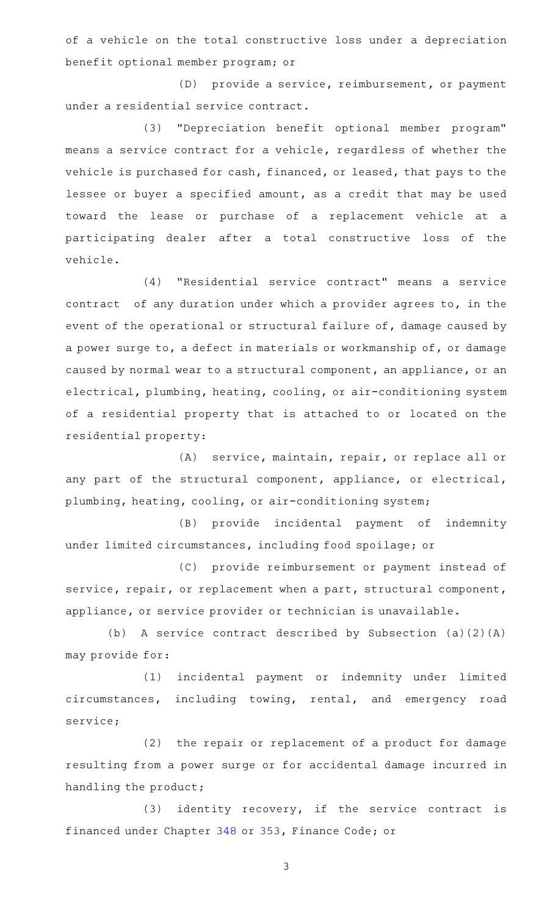of a vehicle on the total constructive loss under a depreciation benefit optional member program; or

(D) provide a service, reimbursement, or payment under a residential service contract.

(3) "Depreciation benefit optional member program" means a service contract for a vehicle, regardless of whether the vehicle is purchased for cash, financed, or leased, that pays to the lessee or buyer a specified amount, as a credit that may be used toward the lease or purchase of a replacement vehicle at a participating dealer after a total constructive loss of the vehicle.

(4) "Residential service contract" means a service contract of any duration under which a provider agrees to, in the event of the operational or structural failure of, damage caused by a power surge to, a defect in materials or workmanship of, or damage caused by normal wear to a structural component, an appliance, or an electrical, plumbing, heating, cooling, or air-conditioning system of a residential property that is attached to or located on the residential property:

(A) service, maintain, repair, or replace all or any part of the structural component, appliance, or electrical, plumbing, heating, cooling, or air-conditioning system;

(B) provide incidental payment of indemnity under limited circumstances, including food spoilage; or

(C) provide reimbursement or payment instead of service, repair, or replacement when a part, structural component, appliance, or service provider or technician is unavailable.

(b) A service contract described by Subsection (a)(2)(A) may provide for:

(1) incidental payment or indemnity under limited circumstances, including towing, rental, and emergency road service;

(2) the repair or replacement of a product for damage resulting from a power surge or for accidental damage incurred in handling the product;

 $(3)$  identity recovery, if the service contract is financed under Chapter [348](https://statutes.capitol.texas.gov/GetStatute.aspx?Code=FI&Value=348) or [353,](https://statutes.capitol.texas.gov/GetStatute.aspx?Code=FI&Value=353) Finance Code; or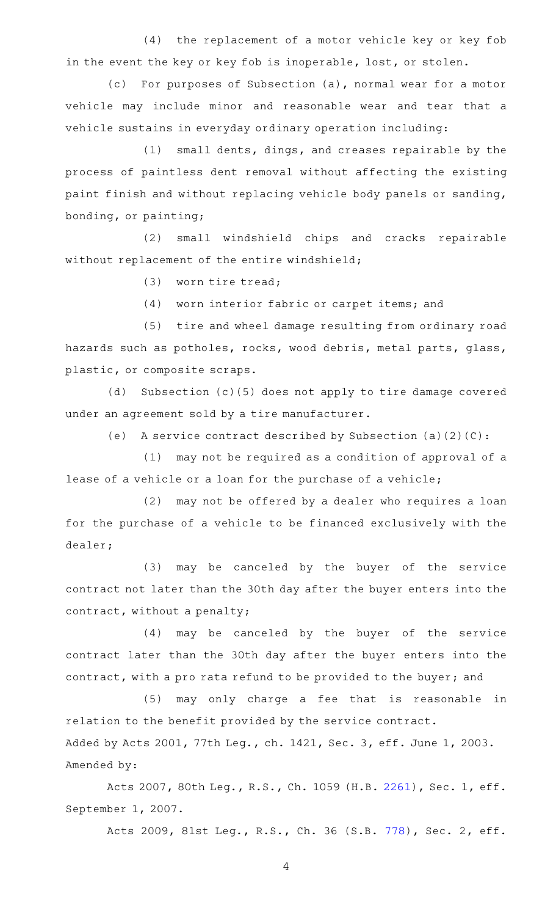(4) the replacement of a motor vehicle key or key fob in the event the key or key fob is inoperable, lost, or stolen.

(c) For purposes of Subsection (a), normal wear for a motor vehicle may include minor and reasonable wear and tear that a vehicle sustains in everyday ordinary operation including:

 $(1)$  small dents, dings, and creases repairable by the process of paintless dent removal without affecting the existing paint finish and without replacing vehicle body panels or sanding, bonding, or painting;

(2) small windshield chips and cracks repairable without replacement of the entire windshield;

 $(3)$  worn tire tread;

(4) worn interior fabric or carpet items; and

(5) tire and wheel damage resulting from ordinary road hazards such as potholes, rocks, wood debris, metal parts, glass, plastic, or composite scraps.

(d) Subsection (c)(5) does not apply to tire damage covered under an agreement sold by a tire manufacturer.

(e) A service contract described by Subsection (a)(2)(C):

 $(1)$  may not be required as a condition of approval of a lease of a vehicle or a loan for the purchase of a vehicle;

(2) may not be offered by a dealer who requires a loan for the purchase of a vehicle to be financed exclusively with the dealer;

(3) may be canceled by the buyer of the service contract not later than the 30th day after the buyer enters into the contract, without a penalty;

(4) may be canceled by the buyer of the service contract later than the 30th day after the buyer enters into the contract, with a pro rata refund to be provided to the buyer; and

(5) may only charge a fee that is reasonable in relation to the benefit provided by the service contract. Added by Acts 2001, 77th Leg., ch. 1421, Sec. 3, eff. June 1, 2003. Amended by:

Acts 2007, 80th Leg., R.S., Ch. 1059 (H.B. [2261](http://www.legis.state.tx.us/tlodocs/80R/billtext/html/HB02261F.HTM)), Sec. 1, eff. September 1, 2007.

Acts 2009, 81st Leg., R.S., Ch. 36 (S.B. [778](http://www.legis.state.tx.us/tlodocs/81R/billtext/html/SB00778F.HTM)), Sec. 2, eff.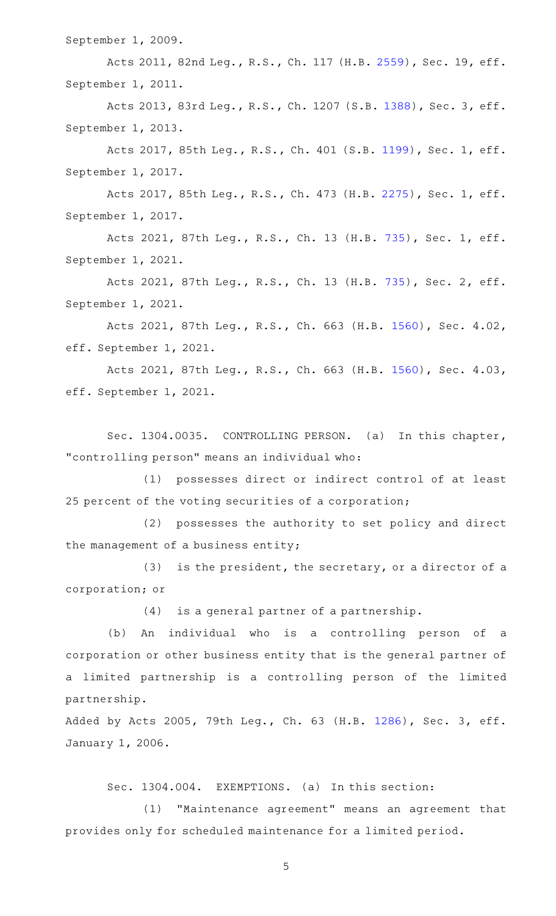September 1, 2009.

Acts 2011, 82nd Leg., R.S., Ch. 117 (H.B. [2559\)](http://www.legis.state.tx.us/tlodocs/82R/billtext/html/HB02559F.HTM), Sec. 19, eff. September 1, 2011.

Acts 2013, 83rd Leg., R.S., Ch. 1207 (S.B. [1388](http://www.legis.state.tx.us/tlodocs/83R/billtext/html/SB01388F.HTM)), Sec. 3, eff. September 1, 2013.

Acts 2017, 85th Leg., R.S., Ch. 401 (S.B. [1199](http://www.legis.state.tx.us/tlodocs/85R/billtext/html/SB01199F.HTM)), Sec. 1, eff. September 1, 2017.

Acts 2017, 85th Leg., R.S., Ch. 473 (H.B. [2275](http://www.legis.state.tx.us/tlodocs/85R/billtext/html/HB02275F.HTM)), Sec. 1, eff. September 1, 2017.

Acts 2021, 87th Leg., R.S., Ch. 13 (H.B. [735](http://www.legis.state.tx.us/tlodocs/87R/billtext/html/HB00735F.HTM)), Sec. 1, eff. September 1, 2021.

Acts 2021, 87th Leg., R.S., Ch. 13 (H.B. [735](http://www.legis.state.tx.us/tlodocs/87R/billtext/html/HB00735F.HTM)), Sec. 2, eff. September 1, 2021.

Acts 2021, 87th Leg., R.S., Ch. 663 (H.B. [1560\)](http://www.legis.state.tx.us/tlodocs/87R/billtext/html/HB01560F.HTM), Sec. 4.02, eff. September 1, 2021.

Acts 2021, 87th Leg., R.S., Ch. 663 (H.B. [1560\)](http://www.legis.state.tx.us/tlodocs/87R/billtext/html/HB01560F.HTM), Sec. 4.03, eff. September 1, 2021.

Sec. 1304.0035. CONTROLLING PERSON. (a) In this chapter, "controlling person" means an individual who:

(1) possesses direct or indirect control of at least 25 percent of the voting securities of a corporation;

(2) possesses the authority to set policy and direct the management of a business entity;

 $(3)$  is the president, the secretary, or a director of a corporation; or

 $(4)$  is a general partner of a partnership.

(b) An individual who is a controlling person of a corporation or other business entity that is the general partner of a limited partnership is a controlling person of the limited partnership.

Added by Acts 2005, 79th Leg., Ch. 63 (H.B. [1286](http://www.legis.state.tx.us/tlodocs/79R/billtext/html/HB01286F.HTM)), Sec. 3, eff. January 1, 2006.

Sec. 1304.004. EXEMPTIONS. (a) In this section:

(1) "Maintenance agreement" means an agreement that provides only for scheduled maintenance for a limited period.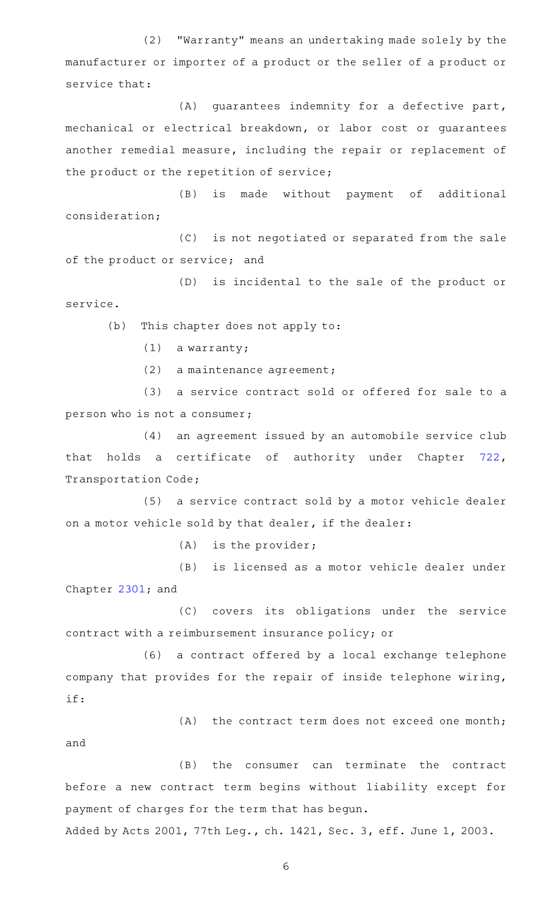(2) "Warranty" means an undertaking made solely by the manufacturer or importer of a product or the seller of a product or service that:

 $(A)$  guarantees indemnity for a defective part, mechanical or electrical breakdown, or labor cost or guarantees another remedial measure, including the repair or replacement of the product or the repetition of service;

(B) is made without payment of additional consideration;

(C) is not negotiated or separated from the sale of the product or service; and

(D) is incidental to the sale of the product or service.

(b) This chapter does not apply to:

 $(1)$  a warranty;

and

(2) a maintenance agreement;

(3) a service contract sold or offered for sale to a person who is not a consumer;

(4) an agreement issued by an automobile service club that holds a certificate of authority under Chapter [722](https://statutes.capitol.texas.gov/GetStatute.aspx?Code=TN&Value=722), Transportation Code;

(5) a service contract sold by a motor vehicle dealer on a motor vehicle sold by that dealer, if the dealer:

 $(A)$  is the provider;

(B) is licensed as a motor vehicle dealer under Chapter [2301](https://statutes.capitol.texas.gov/GetStatute.aspx?Code=OC&Value=2301); and

(C) covers its obligations under the service contract with a reimbursement insurance policy; or

(6) a contract offered by a local exchange telephone company that provides for the repair of inside telephone wiring, if:

 $(A)$  the contract term does not exceed one month;

(B) the consumer can terminate the contract before a new contract term begins without liability except for payment of charges for the term that has begun.

Added by Acts 2001, 77th Leg., ch. 1421, Sec. 3, eff. June 1, 2003.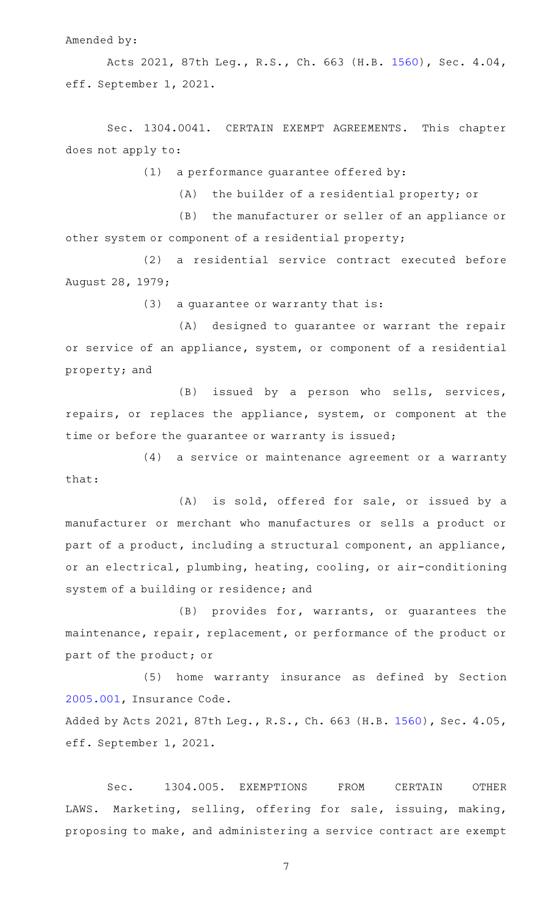Amended by:

Acts 2021, 87th Leg., R.S., Ch. 663 (H.B. [1560\)](http://www.legis.state.tx.us/tlodocs/87R/billtext/html/HB01560F.HTM), Sec. 4.04, eff. September 1, 2021.

Sec. 1304.0041. CERTAIN EXEMPT AGREEMENTS. This chapter does not apply to:

 $(1)$  a performance guarantee offered by:

(A) the builder of a residential property; or

(B) the manufacturer or seller of an appliance or other system or component of a residential property;

(2) a residential service contract executed before August 28, 1979;

 $(3)$  a guarantee or warranty that is:

(A) designed to guarantee or warrant the repair or service of an appliance, system, or component of a residential property; and

(B) issued by a person who sells, services, repairs, or replaces the appliance, system, or component at the time or before the guarantee or warranty is issued;

(4) a service or maintenance agreement or a warranty that:

(A) is sold, offered for sale, or issued by a manufacturer or merchant who manufactures or sells a product or part of a product, including a structural component, an appliance, or an electrical, plumbing, heating, cooling, or air-conditioning system of a building or residence; and

 $(B)$  provides for, warrants, or guarantees the maintenance, repair, replacement, or performance of the product or part of the product; or

(5) home warranty insurance as defined by Section [2005.001](https://statutes.capitol.texas.gov/GetStatute.aspx?Code=IN&Value=2005.001), Insurance Code.

Added by Acts 2021, 87th Leg., R.S., Ch. 663 (H.B. [1560](http://www.legis.state.tx.us/tlodocs/87R/billtext/html/HB01560F.HTM)), Sec. 4.05, eff. September 1, 2021.

Sec. 1304.005. EXEMPTIONS FROM CERTAIN OTHER LAWS. Marketing, selling, offering for sale, issuing, making, proposing to make, and administering a service contract are exempt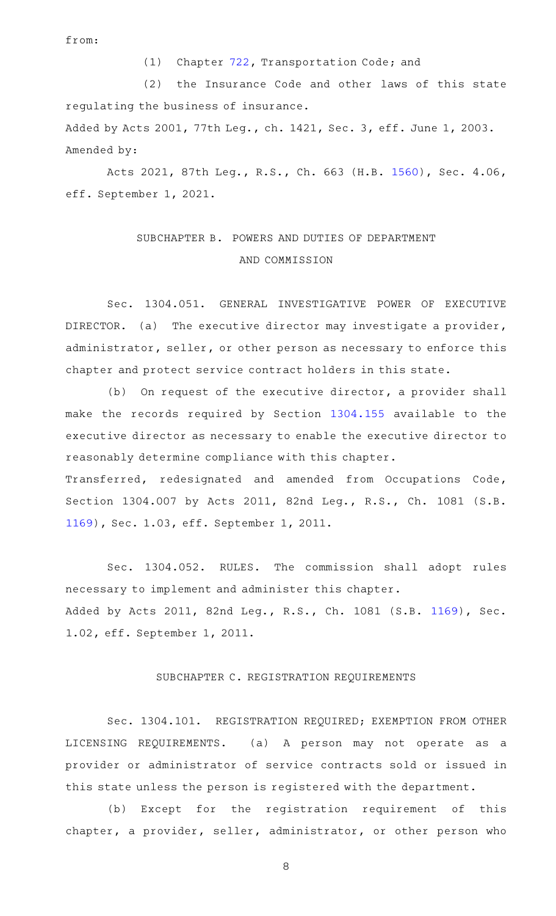from:

(1) Chapter [722,](https://statutes.capitol.texas.gov/GetStatute.aspx?Code=TN&Value=722) Transportation Code; and

(2) the Insurance Code and other laws of this state regulating the business of insurance.

Added by Acts 2001, 77th Leg., ch. 1421, Sec. 3, eff. June 1, 2003. Amended by:

Acts 2021, 87th Leg., R.S., Ch. 663 (H.B. [1560\)](http://www.legis.state.tx.us/tlodocs/87R/billtext/html/HB01560F.HTM), Sec. 4.06, eff. September 1, 2021.

# SUBCHAPTER B. POWERS AND DUTIES OF DEPARTMENT AND COMMISSION

Sec. 1304.051. GENERAL INVESTIGATIVE POWER OF EXECUTIVE DIRECTOR. (a) The executive director may investigate a provider, administrator, seller, or other person as necessary to enforce this chapter and protect service contract holders in this state.

(b) On request of the executive director, a provider shall make the records required by Section [1304.155](https://statutes.capitol.texas.gov/GetStatute.aspx?Code=OC&Value=1304.155) available to the executive director as necessary to enable the executive director to reasonably determine compliance with this chapter. Transferred, redesignated and amended from Occupations Code, Section 1304.007 by Acts 2011, 82nd Leg., R.S., Ch. 1081 (S.B. [1169](http://www.legis.state.tx.us/tlodocs/82R/billtext/html/SB01169F.HTM)), Sec. 1.03, eff. September 1, 2011.

Sec. 1304.052. RULES. The commission shall adopt rules necessary to implement and administer this chapter. Added by Acts 2011, 82nd Leg., R.S., Ch. 1081 (S.B. [1169](http://www.legis.state.tx.us/tlodocs/82R/billtext/html/SB01169F.HTM)), Sec. 1.02, eff. September 1, 2011.

## SUBCHAPTER C. REGISTRATION REQUIREMENTS

Sec. 1304.101. REGISTRATION REQUIRED; EXEMPTION FROM OTHER LICENSING REQUIREMENTS. (a) A person may not operate as a provider or administrator of service contracts sold or issued in this state unless the person is registered with the department.

(b) Except for the registration requirement of this chapter, a provider, seller, administrator, or other person who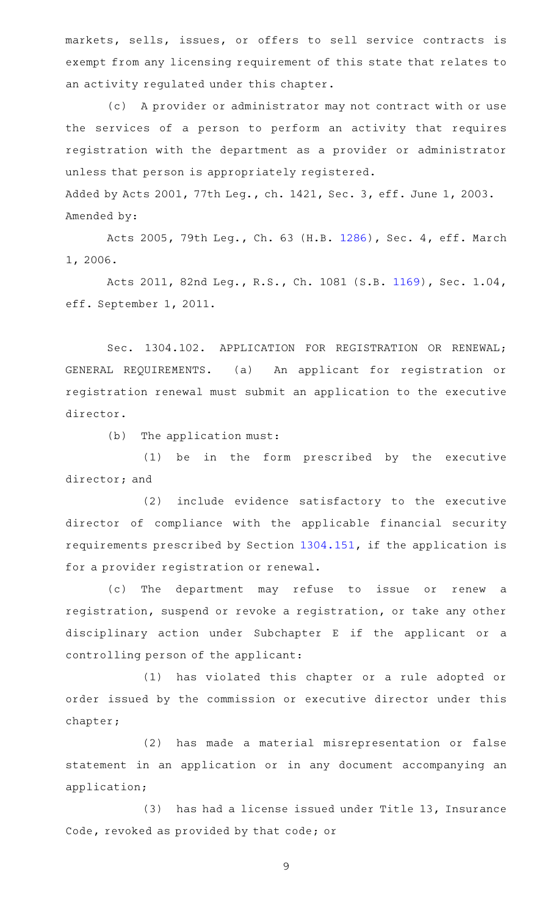markets, sells, issues, or offers to sell service contracts is exempt from any licensing requirement of this state that relates to an activity regulated under this chapter.

(c) A provider or administrator may not contract with or use the services of a person to perform an activity that requires registration with the department as a provider or administrator unless that person is appropriately registered. Added by Acts 2001, 77th Leg., ch. 1421, Sec. 3, eff. June 1, 2003.

Amended by:

Acts 2005, 79th Leg., Ch. 63 (H.B. [1286](http://www.legis.state.tx.us/tlodocs/79R/billtext/html/HB01286F.HTM)), Sec. 4, eff. March 1, 2006.

Acts 2011, 82nd Leg., R.S., Ch. 1081 (S.B. [1169](http://www.legis.state.tx.us/tlodocs/82R/billtext/html/SB01169F.HTM)), Sec. 1.04, eff. September 1, 2011.

Sec. 1304.102. APPLICATION FOR REGISTRATION OR RENEWAL; GENERAL REQUIREMENTS. (a) An applicant for registration or registration renewal must submit an application to the executive director.

 $(b)$  The application must:

(1) be in the form prescribed by the executive director; and

(2) include evidence satisfactory to the executive director of compliance with the applicable financial security requirements prescribed by Section [1304.151,](https://statutes.capitol.texas.gov/GetStatute.aspx?Code=OC&Value=1304.151) if the application is for a provider registration or renewal.

(c) The department may refuse to issue or renew a registration, suspend or revoke a registration, or take any other disciplinary action under Subchapter E if the applicant or a controlling person of the applicant:

(1) has violated this chapter or a rule adopted or order issued by the commission or executive director under this chapter;

(2) has made a material misrepresentation or false statement in an application or in any document accompanying an application;

(3) has had a license issued under Title 13, Insurance Code, revoked as provided by that code; or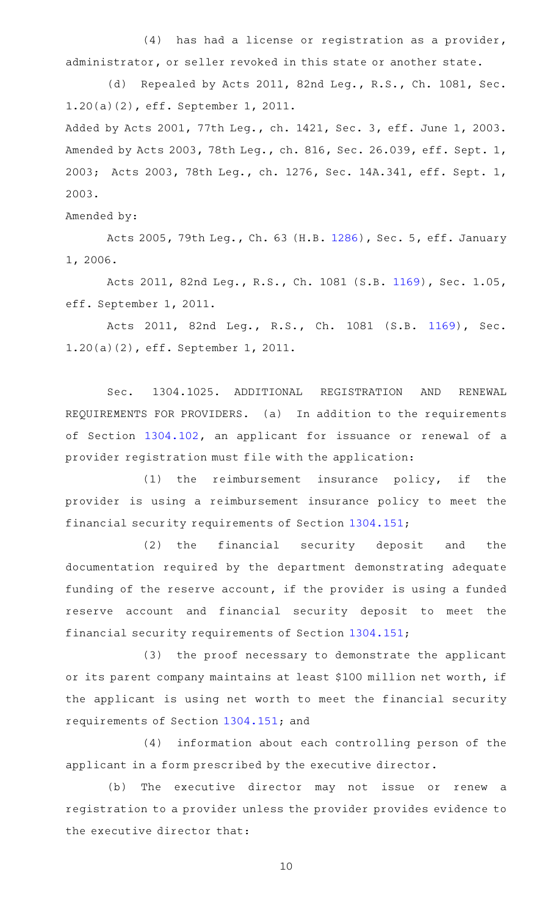$(4)$  has had a license or registration as a provider, administrator, or seller revoked in this state or another state.

(d) Repealed by Acts 2011, 82nd Leg., R.S., Ch. 1081, Sec. 1.20(a)(2), eff. September 1, 2011.

Added by Acts 2001, 77th Leg., ch. 1421, Sec. 3, eff. June 1, 2003. Amended by Acts 2003, 78th Leg., ch. 816, Sec. 26.039, eff. Sept. 1, 2003; Acts 2003, 78th Leg., ch. 1276, Sec. 14A.341, eff. Sept. 1, 2003.

#### Amended by:

Acts 2005, 79th Leg., Ch. 63 (H.B. [1286](http://www.legis.state.tx.us/tlodocs/79R/billtext/html/HB01286F.HTM)), Sec. 5, eff. January 1, 2006.

Acts 2011, 82nd Leg., R.S., Ch. 1081 (S.B. [1169](http://www.legis.state.tx.us/tlodocs/82R/billtext/html/SB01169F.HTM)), Sec. 1.05, eff. September 1, 2011.

Acts 2011, 82nd Leg., R.S., Ch. 1081 (S.B. [1169\)](http://www.legis.state.tx.us/tlodocs/82R/billtext/html/SB01169F.HTM), Sec. 1.20(a)(2), eff. September 1, 2011.

Sec. 1304.1025. ADDITIONAL REGISTRATION AND RENEWAL REQUIREMENTS FOR PROVIDERS. (a) In addition to the requirements of Section [1304.102](https://statutes.capitol.texas.gov/GetStatute.aspx?Code=OC&Value=1304.102), an applicant for issuance or renewal of a provider registration must file with the application:

 $(1)$  the reimbursement insurance policy, if the provider is using a reimbursement insurance policy to meet the financial security requirements of Section [1304.151](https://statutes.capitol.texas.gov/GetStatute.aspx?Code=OC&Value=1304.151);

(2) the financial security deposit and the documentation required by the department demonstrating adequate funding of the reserve account, if the provider is using a funded reserve account and financial security deposit to meet the financial security requirements of Section [1304.151](https://statutes.capitol.texas.gov/GetStatute.aspx?Code=OC&Value=1304.151);

(3) the proof necessary to demonstrate the applicant or its parent company maintains at least \$100 million net worth, if the applicant is using net worth to meet the financial security requirements of Section [1304.151;](https://statutes.capitol.texas.gov/GetStatute.aspx?Code=OC&Value=1304.151) and

(4) information about each controlling person of the applicant in a form prescribed by the executive director.

(b) The executive director may not issue or renew a registration to a provider unless the provider provides evidence to the executive director that: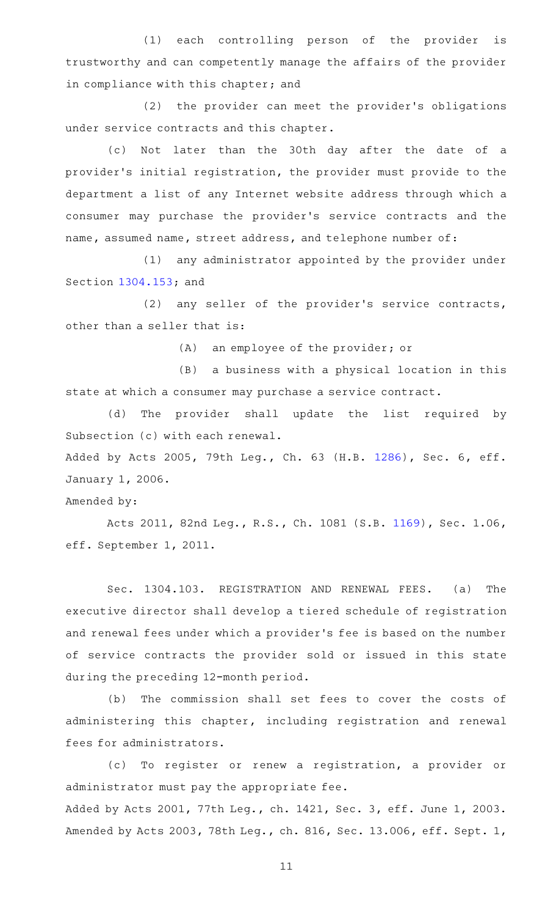(1) each controlling person of the provider is trustworthy and can competently manage the affairs of the provider in compliance with this chapter; and

(2) the provider can meet the provider's obligations under service contracts and this chapter.

(c) Not later than the 30th day after the date of a provider 's initial registration, the provider must provide to the department a list of any Internet website address through which a consumer may purchase the provider 's service contracts and the name, assumed name, street address, and telephone number of:

(1) any administrator appointed by the provider under Section [1304.153](https://statutes.capitol.texas.gov/GetStatute.aspx?Code=OC&Value=1304.153); and

(2) any seller of the provider's service contracts, other than a seller that is:

(A) an employee of the provider; or

(B) a business with a physical location in this state at which a consumer may purchase a service contract.

(d) The provider shall update the list required by Subsection (c) with each renewal.

Added by Acts 2005, 79th Leg., Ch. 63 (H.B. [1286](http://www.legis.state.tx.us/tlodocs/79R/billtext/html/HB01286F.HTM)), Sec. 6, eff. January 1, 2006.

Amended by:

Acts 2011, 82nd Leg., R.S., Ch. 1081 (S.B. [1169](http://www.legis.state.tx.us/tlodocs/82R/billtext/html/SB01169F.HTM)), Sec. 1.06, eff. September 1, 2011.

Sec. 1304.103. REGISTRATION AND RENEWAL FEES. (a) The executive director shall develop a tiered schedule of registration and renewal fees under which a provider 's fee is based on the number of service contracts the provider sold or issued in this state during the preceding 12-month period.

(b) The commission shall set fees to cover the costs of administering this chapter, including registration and renewal fees for administrators.

(c) To register or renew a registration, a provider or administrator must pay the appropriate fee.

Added by Acts 2001, 77th Leg., ch. 1421, Sec. 3, eff. June 1, 2003. Amended by Acts 2003, 78th Leg., ch. 816, Sec. 13.006, eff. Sept. 1,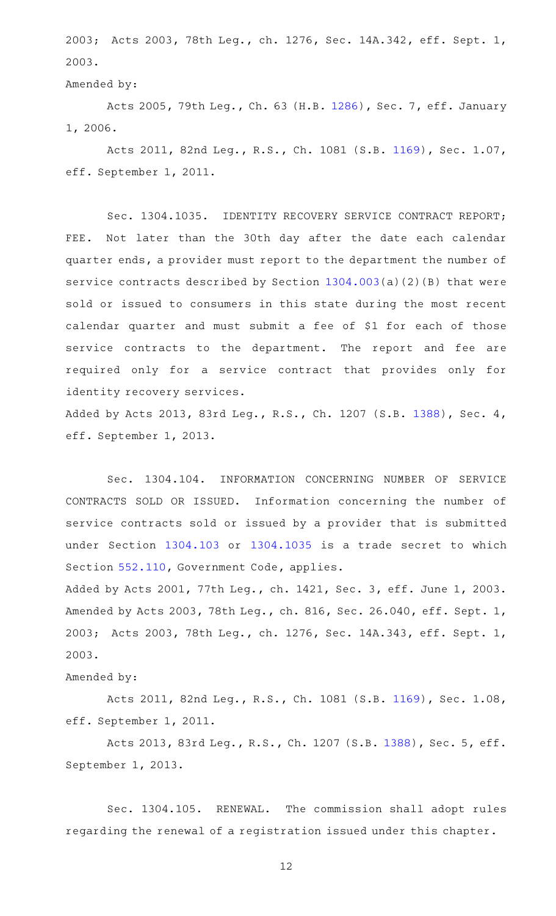2003; Acts 2003, 78th Leg., ch. 1276, Sec. 14A.342, eff. Sept. 1, 2003.

Amended by:

Acts 2005, 79th Leg., Ch. 63 (H.B. [1286](http://www.legis.state.tx.us/tlodocs/79R/billtext/html/HB01286F.HTM)), Sec. 7, eff. January 1, 2006.

Acts 2011, 82nd Leg., R.S., Ch. 1081 (S.B. [1169](http://www.legis.state.tx.us/tlodocs/82R/billtext/html/SB01169F.HTM)), Sec. 1.07, eff. September 1, 2011.

Sec. 1304.1035. IDENTITY RECOVERY SERVICE CONTRACT REPORT; FEE. Not later than the 30th day after the date each calendar quarter ends, a provider must report to the department the number of service contracts described by Section [1304.003](https://statutes.capitol.texas.gov/GetStatute.aspx?Code=OC&Value=1304.003)(a)(2)(B) that were sold or issued to consumers in this state during the most recent calendar quarter and must submit a fee of \$1 for each of those service contracts to the department. The report and fee are required only for a service contract that provides only for identity recovery services.

Added by Acts 2013, 83rd Leg., R.S., Ch. 1207 (S.B. [1388\)](http://www.legis.state.tx.us/tlodocs/83R/billtext/html/SB01388F.HTM), Sec. 4, eff. September 1, 2013.

Sec. 1304.104. INFORMATION CONCERNING NUMBER OF SERVICE CONTRACTS SOLD OR ISSUED. Information concerning the number of service contracts sold or issued by a provider that is submitted under Section [1304.103](https://statutes.capitol.texas.gov/GetStatute.aspx?Code=OC&Value=1304.103) or [1304.1035](https://statutes.capitol.texas.gov/GetStatute.aspx?Code=OC&Value=1304.1035) is a trade secret to which Section [552.110,](https://statutes.capitol.texas.gov/GetStatute.aspx?Code=GV&Value=552.110) Government Code, applies.

Added by Acts 2001, 77th Leg., ch. 1421, Sec. 3, eff. June 1, 2003. Amended by Acts 2003, 78th Leg., ch. 816, Sec. 26.040, eff. Sept. 1, 2003; Acts 2003, 78th Leg., ch. 1276, Sec. 14A.343, eff. Sept. 1, 2003.

## Amended by:

Acts 2011, 82nd Leg., R.S., Ch. 1081 (S.B. [1169](http://www.legis.state.tx.us/tlodocs/82R/billtext/html/SB01169F.HTM)), Sec. 1.08, eff. September 1, 2011.

Acts 2013, 83rd Leg., R.S., Ch. 1207 (S.B. [1388](http://www.legis.state.tx.us/tlodocs/83R/billtext/html/SB01388F.HTM)), Sec. 5, eff. September 1, 2013.

Sec. 1304.105. RENEWAL. The commission shall adopt rules regarding the renewal of a registration issued under this chapter.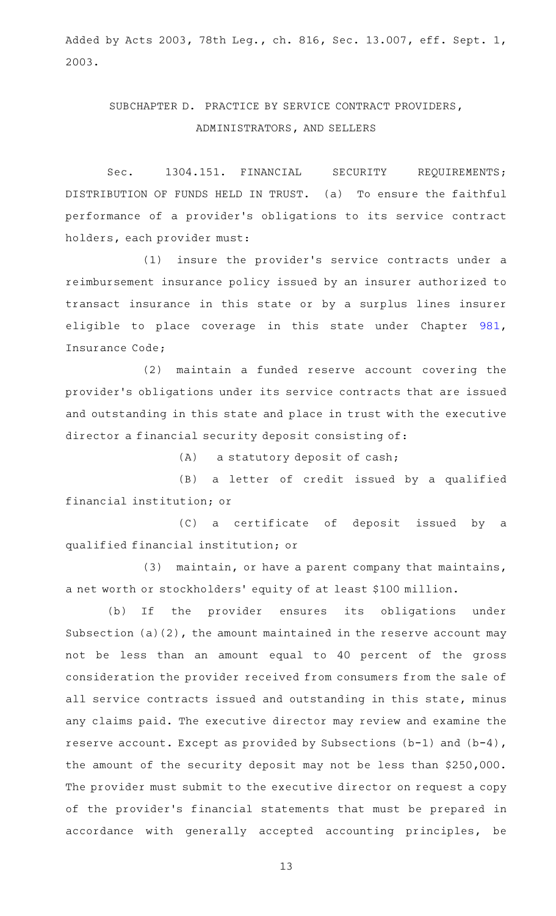Added by Acts 2003, 78th Leg., ch. 816, Sec. 13.007, eff. Sept. 1, 2003.

## SUBCHAPTER D. PRACTICE BY SERVICE CONTRACT PROVIDERS, ADMINISTRATORS, AND SELLERS

Sec. 1304.151. FINANCIAL SECURITY REQUIREMENTS; DISTRIBUTION OF FUNDS HELD IN TRUST. (a) To ensure the faithful performance of a provider 's obligations to its service contract holders, each provider must:

(1) insure the provider's service contracts under a reimbursement insurance policy issued by an insurer authorized to transact insurance in this state or by a surplus lines insurer eligible to place coverage in this state under Chapter [981](https://statutes.capitol.texas.gov/GetStatute.aspx?Code=IN&Value=981), Insurance Code;

(2) maintain a funded reserve account covering the provider 's obligations under its service contracts that are issued and outstanding in this state and place in trust with the executive director a financial security deposit consisting of:

 $(A)$  a statutory deposit of cash;

(B) a letter of credit issued by a qualified financial institution; or

(C) a certificate of deposit issued by a qualified financial institution; or

 $(3)$  maintain, or have a parent company that maintains, a net worth or stockholders' equity of at least \$100 million.

(b) If the provider ensures its obligations under Subsection (a)(2), the amount maintained in the reserve account may not be less than an amount equal to 40 percent of the gross consideration the provider received from consumers from the sale of all service contracts issued and outstanding in this state, minus any claims paid. The executive director may review and examine the reserve account. Except as provided by Subsections (b-1) and (b-4), the amount of the security deposit may not be less than \$250,000. The provider must submit to the executive director on request a copy of the provider 's financial statements that must be prepared in accordance with generally accepted accounting principles, be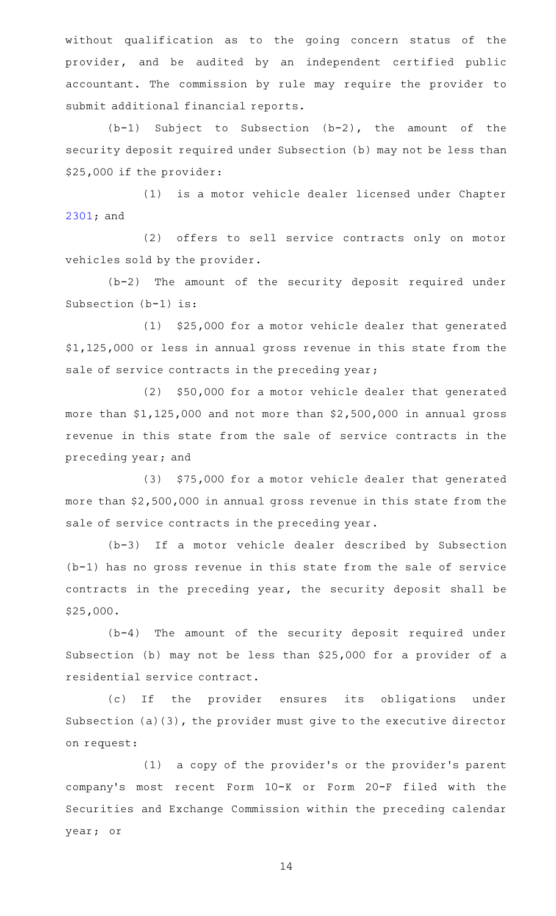without qualification as to the going concern status of the provider, and be audited by an independent certified public accountant. The commission by rule may require the provider to submit additional financial reports.

 $(b-1)$  Subject to Subsection  $(b-2)$ , the amount of the security deposit required under Subsection (b) may not be less than \$25,000 if the provider:

(1) is a motor vehicle dealer licensed under Chapter [2301](https://statutes.capitol.texas.gov/GetStatute.aspx?Code=OC&Value=2301); and

(2) offers to sell service contracts only on motor vehicles sold by the provider.

 $(b-2)$  The amount of the security deposit required under Subsection (b-1) is:

(1) \$25,000 for a motor vehicle dealer that generated \$1,125,000 or less in annual gross revenue in this state from the sale of service contracts in the preceding year;

(2) \$50,000 for a motor vehicle dealer that generated more than \$1,125,000 and not more than \$2,500,000 in annual gross revenue in this state from the sale of service contracts in the preceding year; and

(3) \$75,000 for a motor vehicle dealer that generated more than \$2,500,000 in annual gross revenue in this state from the sale of service contracts in the preceding year.

(b-3) If a motor vehicle dealer described by Subsection (b-1) has no gross revenue in this state from the sale of service contracts in the preceding year, the security deposit shall be \$25,000.

 $(b-4)$  The amount of the security deposit required under Subsection (b) may not be less than \$25,000 for a provider of a residential service contract.

(c) If the provider ensures its obligations under Subsection (a)(3), the provider must give to the executive director on request:

(1) a copy of the provider's or the provider's parent company 's most recent Form 10-K or Form 20-F filed with the Securities and Exchange Commission within the preceding calendar year; or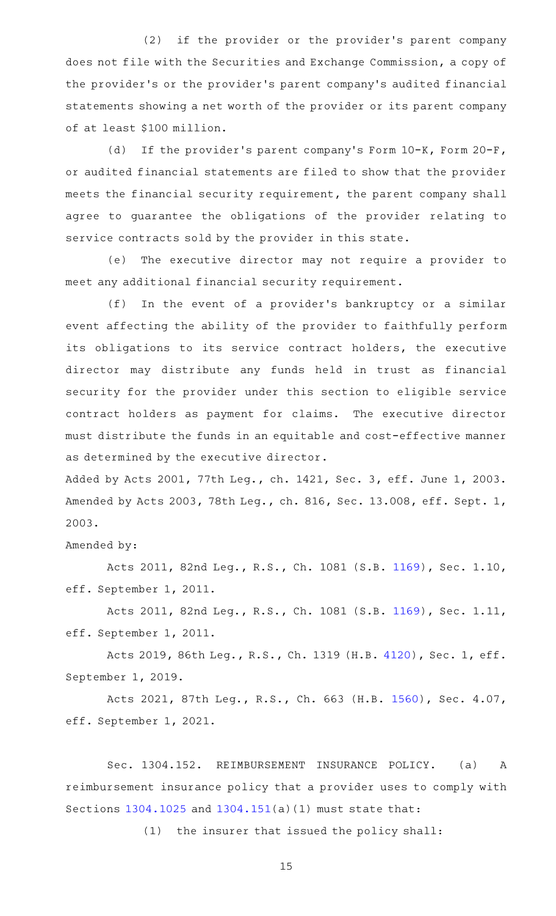(2) if the provider or the provider's parent company does not file with the Securities and Exchange Commission, a copy of the provider 's or the provider 's parent company 's audited financial statements showing a net worth of the provider or its parent company of at least \$100 million.

(d) If the provider's parent company's Form 10-K, Form 20-F, or audited financial statements are filed to show that the provider meets the financial security requirement, the parent company shall agree to guarantee the obligations of the provider relating to service contracts sold by the provider in this state.

(e) The executive director may not require a provider to meet any additional financial security requirement.

(f) In the event of a provider's bankruptcy or a similar event affecting the ability of the provider to faithfully perform its obligations to its service contract holders, the executive director may distribute any funds held in trust as financial security for the provider under this section to eligible service contract holders as payment for claims. The executive director must distribute the funds in an equitable and cost-effective manner as determined by the executive director.

Added by Acts 2001, 77th Leg., ch. 1421, Sec. 3, eff. June 1, 2003. Amended by Acts 2003, 78th Leg., ch. 816, Sec. 13.008, eff. Sept. 1, 2003.

Amended by:

Acts 2011, 82nd Leg., R.S., Ch. 1081 (S.B. [1169](http://www.legis.state.tx.us/tlodocs/82R/billtext/html/SB01169F.HTM)), Sec. 1.10, eff. September 1, 2011.

Acts 2011, 82nd Leg., R.S., Ch. 1081 (S.B. [1169](http://www.legis.state.tx.us/tlodocs/82R/billtext/html/SB01169F.HTM)), Sec. 1.11, eff. September 1, 2011.

Acts 2019, 86th Leg., R.S., Ch. 1319 (H.B. [4120](http://www.legis.state.tx.us/tlodocs/86R/billtext/html/HB04120F.HTM)), Sec. 1, eff. September 1, 2019.

Acts 2021, 87th Leg., R.S., Ch. 663 (H.B. [1560\)](http://www.legis.state.tx.us/tlodocs/87R/billtext/html/HB01560F.HTM), Sec. 4.07, eff. September 1, 2021.

Sec. 1304.152. REIMBURSEMENT INSURANCE POLICY. (a) A reimbursement insurance policy that a provider uses to comply with Sections [1304.1025](https://statutes.capitol.texas.gov/GetStatute.aspx?Code=OC&Value=1304.1025) and [1304.151](https://statutes.capitol.texas.gov/GetStatute.aspx?Code=OC&Value=1304.151)(a)(1) must state that:

 $(1)$  the insurer that issued the policy shall: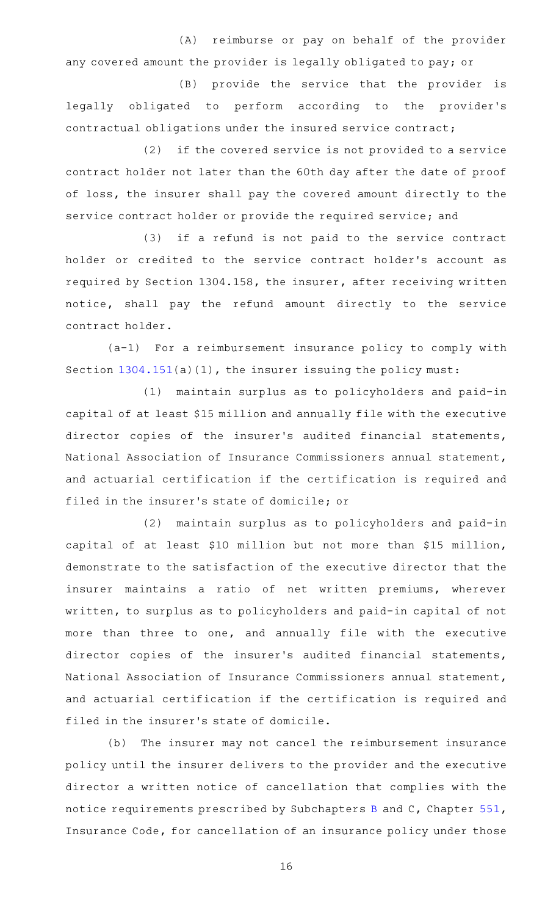(A) reimburse or pay on behalf of the provider any covered amount the provider is legally obligated to pay; or

(B) provide the service that the provider is legally obligated to perform according to the provider 's contractual obligations under the insured service contract;

(2) if the covered service is not provided to a service contract holder not later than the 60th day after the date of proof of loss, the insurer shall pay the covered amount directly to the service contract holder or provide the required service; and

(3) if a refund is not paid to the service contract holder or credited to the service contract holder 's account as required by Section 1304.158, the insurer, after receiving written notice, shall pay the refund amount directly to the service contract holder.

 $(a-1)$  For a reimbursement insurance policy to comply with Section [1304.151](https://statutes.capitol.texas.gov/GetStatute.aspx?Code=OC&Value=1304.151)(a)(1), the insurer issuing the policy must:

(1) maintain surplus as to policyholders and paid-in capital of at least \$15 million and annually file with the executive director copies of the insurer 's audited financial statements, National Association of Insurance Commissioners annual statement, and actuarial certification if the certification is required and filed in the insurer 's state of domicile; or

(2) maintain surplus as to policyholders and paid-in capital of at least \$10 million but not more than \$15 million, demonstrate to the satisfaction of the executive director that the insurer maintains a ratio of net written premiums, wherever written, to surplus as to policyholders and paid-in capital of not more than three to one, and annually file with the executive director copies of the insurer 's audited financial statements, National Association of Insurance Commissioners annual statement, and actuarial certification if the certification is required and filed in the insurer 's state of domicile.

(b) The insurer may not cancel the reimbursement insurance policy until the insurer delivers to the provider and the executive director a written notice of cancellation that complies with the notice requirements prescribed by Subchapters [B](https://statutes.capitol.texas.gov/GetStatute.aspx?Code=IN&Value=551.051) and C, Chapter [551](https://statutes.capitol.texas.gov/GetStatute.aspx?Code=IN&Value=551), Insurance Code, for cancellation of an insurance policy under those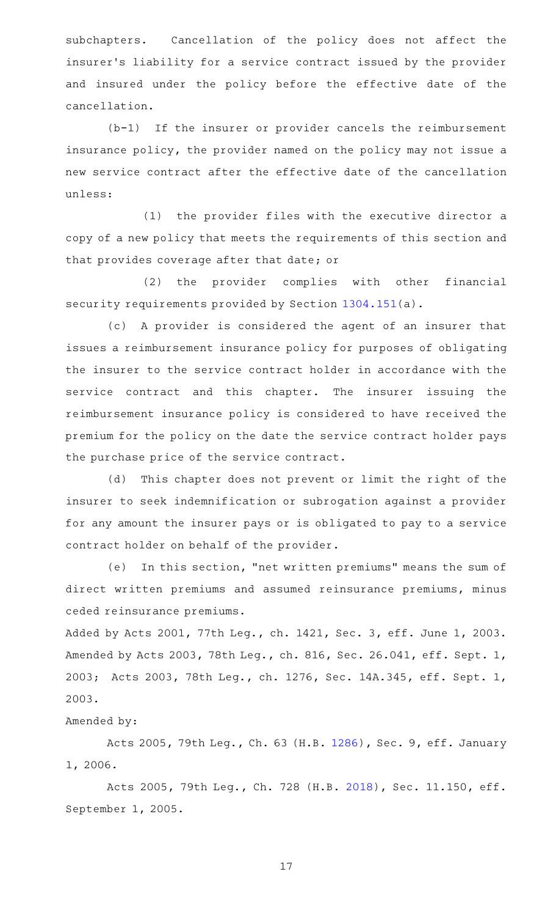subchapters. Cancellation of the policy does not affect the insurer 's liability for a service contract issued by the provider and insured under the policy before the effective date of the cancellation.

 $(b-1)$  If the insurer or provider cancels the reimbursement insurance policy, the provider named on the policy may not issue a new service contract after the effective date of the cancellation unless:

 $(1)$  the provider files with the executive director a copy of a new policy that meets the requirements of this section and that provides coverage after that date; or

(2) the provider complies with other financial security requirements provided by Section [1304.151\(](https://statutes.capitol.texas.gov/GetStatute.aspx?Code=OC&Value=1304.151)a).

(c)AAA provider is considered the agent of an insurer that issues a reimbursement insurance policy for purposes of obligating the insurer to the service contract holder in accordance with the service contract and this chapter. The insurer issuing the reimbursement insurance policy is considered to have received the premium for the policy on the date the service contract holder pays the purchase price of the service contract.

(d) This chapter does not prevent or limit the right of the insurer to seek indemnification or subrogation against a provider for any amount the insurer pays or is obligated to pay to a service contract holder on behalf of the provider.

(e) In this section, "net written premiums" means the sum of direct written premiums and assumed reinsurance premiums, minus ceded reinsurance premiums.

Added by Acts 2001, 77th Leg., ch. 1421, Sec. 3, eff. June 1, 2003. Amended by Acts 2003, 78th Leg., ch. 816, Sec. 26.041, eff. Sept. 1, 2003; Acts 2003, 78th Leg., ch. 1276, Sec. 14A.345, eff. Sept. 1, 2003.

### Amended by:

Acts 2005, 79th Leg., Ch. 63 (H.B. [1286](http://www.legis.state.tx.us/tlodocs/79R/billtext/html/HB01286F.HTM)), Sec. 9, eff. January 1, 2006.

Acts 2005, 79th Leg., Ch. 728 (H.B. [2018\)](http://www.legis.state.tx.us/tlodocs/79R/billtext/html/HB02018F.HTM), Sec. 11.150, eff. September 1, 2005.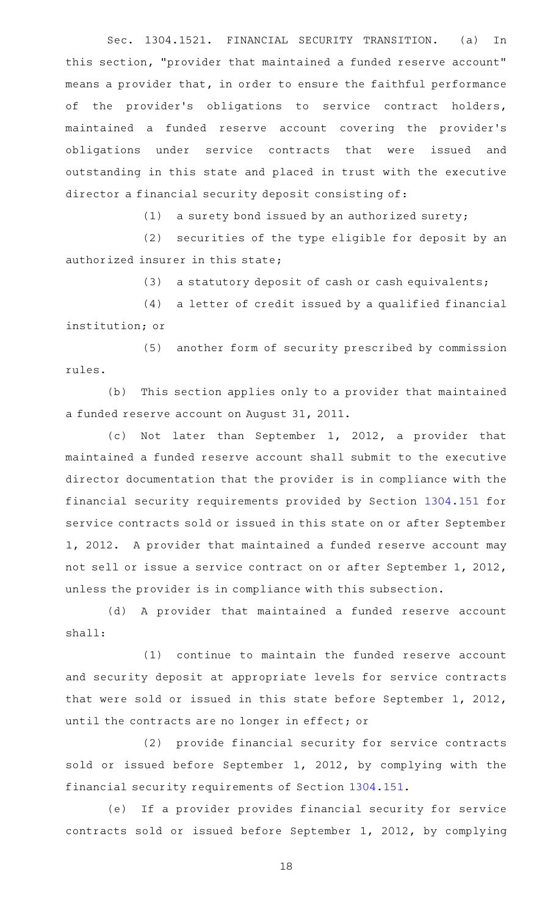Sec. 1304.1521. FINANCIAL SECURITY TRANSITION. (a) In this section, "provider that maintained a funded reserve account" means a provider that, in order to ensure the faithful performance of the provider's obligations to service contract holders, maintained a funded reserve account covering the provider 's obligations under service contracts that were issued and outstanding in this state and placed in trust with the executive director a financial security deposit consisting of:

(1) a surety bond issued by an authorized surety;

(2) securities of the type eligible for deposit by an authorized insurer in this state;

(3) a statutory deposit of cash or cash equivalents;

(4) a letter of credit issued by a qualified financial institution; or

(5) another form of security prescribed by commission rules.

(b) This section applies only to a provider that maintained a funded reserve account on August 31, 2011.

(c) Not later than September 1, 2012, a provider that maintained a funded reserve account shall submit to the executive director documentation that the provider is in compliance with the financial security requirements provided by Section [1304.151](https://statutes.capitol.texas.gov/GetStatute.aspx?Code=OC&Value=1304.151) for service contracts sold or issued in this state on or after September 1, 2012. A provider that maintained a funded reserve account may not sell or issue a service contract on or after September 1, 2012, unless the provider is in compliance with this subsection.

(d) A provider that maintained a funded reserve account shall:

 $(1)$  continue to maintain the funded reserve account and security deposit at appropriate levels for service contracts that were sold or issued in this state before September 1, 2012, until the contracts are no longer in effect; or

(2) provide financial security for service contracts sold or issued before September 1, 2012, by complying with the financial security requirements of Section [1304.151](https://statutes.capitol.texas.gov/GetStatute.aspx?Code=OC&Value=1304.151).

(e) If a provider provides financial security for service contracts sold or issued before September 1, 2012, by complying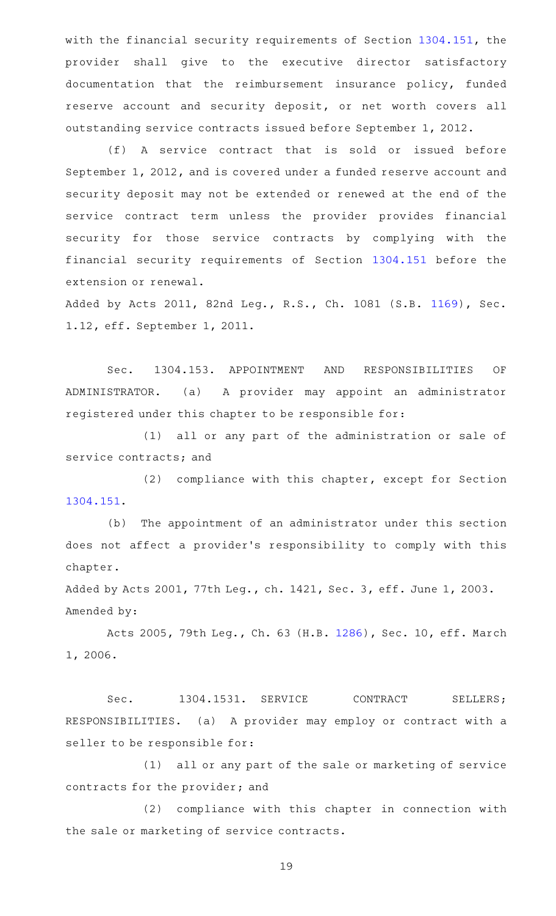with the financial security requirements of Section [1304.151,](https://statutes.capitol.texas.gov/GetStatute.aspx?Code=OC&Value=1304.151) the provider shall give to the executive director satisfactory documentation that the reimbursement insurance policy, funded reserve account and security deposit, or net worth covers all outstanding service contracts issued before September 1, 2012.

(f)AAA service contract that is sold or issued before September 1, 2012, and is covered under a funded reserve account and security deposit may not be extended or renewed at the end of the service contract term unless the provider provides financial security for those service contracts by complying with the financial security requirements of Section [1304.151](https://statutes.capitol.texas.gov/GetStatute.aspx?Code=OC&Value=1304.151) before the extension or renewal.

Added by Acts 2011, 82nd Leg., R.S., Ch. 1081 (S.B. [1169](http://www.legis.state.tx.us/tlodocs/82R/billtext/html/SB01169F.HTM)), Sec. 1.12, eff. September 1, 2011.

Sec. 1304.153. APPOINTMENT AND RESPONSIBILITIES OF ADMINISTRATOR. (a) A provider may appoint an administrator registered under this chapter to be responsible for:

(1) all or any part of the administration or sale of service contracts; and

(2) compliance with this chapter, except for Section [1304.151](https://statutes.capitol.texas.gov/GetStatute.aspx?Code=OC&Value=1304.151).

(b) The appointment of an administrator under this section does not affect a provider 's responsibility to comply with this chapter.

Added by Acts 2001, 77th Leg., ch. 1421, Sec. 3, eff. June 1, 2003. Amended by:

Acts 2005, 79th Leg., Ch. 63 (H.B. [1286](http://www.legis.state.tx.us/tlodocs/79R/billtext/html/HB01286F.HTM)), Sec. 10, eff. March 1, 2006.

Sec. 1304.1531. SERVICE CONTRACT SELLERS; RESPONSIBILITIES. (a) A provider may employ or contract with a seller to be responsible for:

(1) all or any part of the sale or marketing of service contracts for the provider; and

(2) compliance with this chapter in connection with the sale or marketing of service contracts.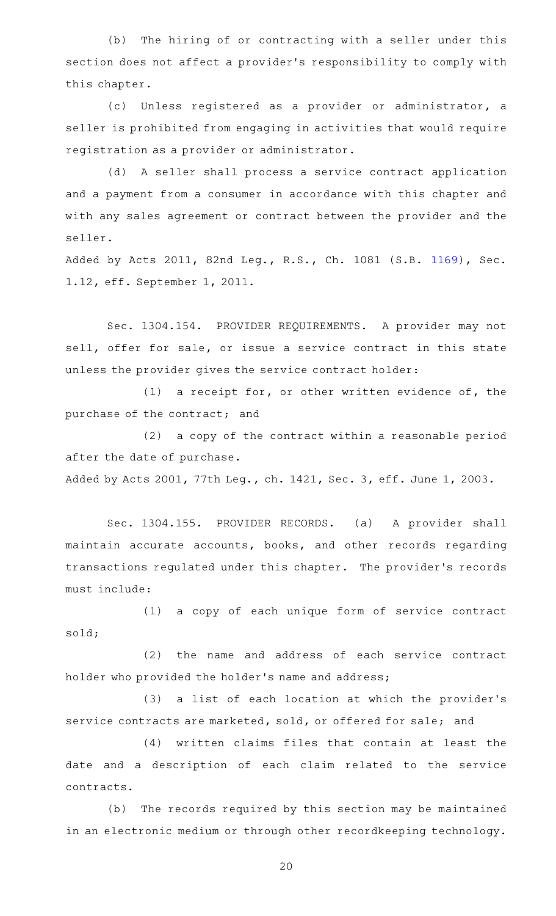(b) The hiring of or contracting with a seller under this section does not affect a provider 's responsibility to comply with this chapter.

(c) Unless registered as a provider or administrator, a seller is prohibited from engaging in activities that would require registration as a provider or administrator.

(d) A seller shall process a service contract application and a payment from a consumer in accordance with this chapter and with any sales agreement or contract between the provider and the seller.

Added by Acts 2011, 82nd Leg., R.S., Ch. 1081 (S.B. [1169](http://www.legis.state.tx.us/tlodocs/82R/billtext/html/SB01169F.HTM)), Sec. 1.12, eff. September 1, 2011.

Sec. 1304.154. PROVIDER REQUIREMENTS. A provider may not sell, offer for sale, or issue a service contract in this state unless the provider gives the service contract holder:

(1) a receipt for, or other written evidence of, the purchase of the contract; and

 $(2)$  a copy of the contract within a reasonable period after the date of purchase.

Added by Acts 2001, 77th Leg., ch. 1421, Sec. 3, eff. June 1, 2003.

Sec. 1304.155. PROVIDER RECORDS. (a) A provider shall maintain accurate accounts, books, and other records regarding transactions regulated under this chapter. The provider 's records must include:

(1) a copy of each unique form of service contract sold;

(2) the name and address of each service contract holder who provided the holder 's name and address;

(3) a list of each location at which the provider's service contracts are marketed, sold, or offered for sale; and

(4) written claims files that contain at least the date and a description of each claim related to the service contracts.

(b) The records required by this section may be maintained in an electronic medium or through other recordkeeping technology.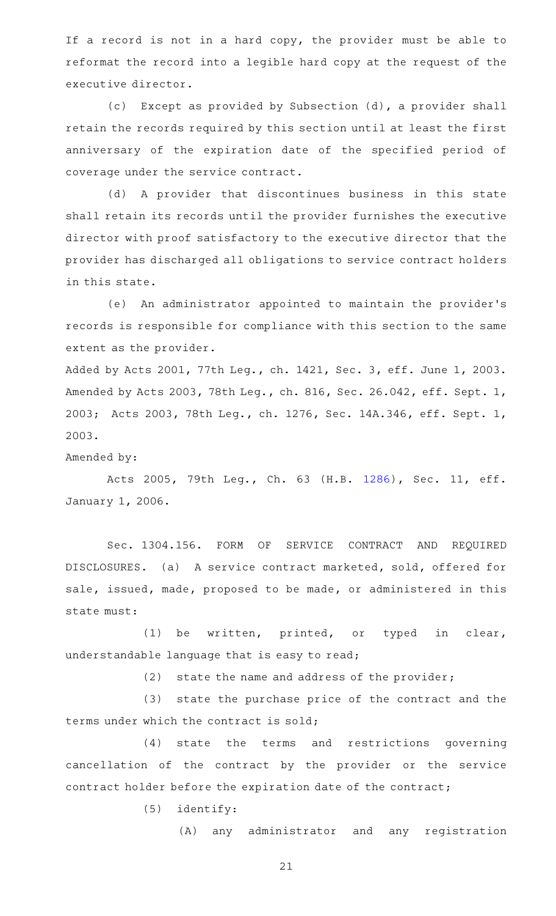If a record is not in a hard copy, the provider must be able to reformat the record into a legible hard copy at the request of the executive director.

(c) Except as provided by Subsection (d), a provider shall retain the records required by this section until at least the first anniversary of the expiration date of the specified period of coverage under the service contract.

(d) A provider that discontinues business in this state shall retain its records until the provider furnishes the executive director with proof satisfactory to the executive director that the provider has discharged all obligations to service contract holders in this state.

(e) An administrator appointed to maintain the provider's records is responsible for compliance with this section to the same extent as the provider.

Added by Acts 2001, 77th Leg., ch. 1421, Sec. 3, eff. June 1, 2003. Amended by Acts 2003, 78th Leg., ch. 816, Sec. 26.042, eff. Sept. 1, 2003; Acts 2003, 78th Leg., ch. 1276, Sec. 14A.346, eff. Sept. 1, 2003.

Amended by:

Acts 2005, 79th Leg., Ch. 63 (H.B. [1286\)](http://www.legis.state.tx.us/tlodocs/79R/billtext/html/HB01286F.HTM), Sec. 11, eff. January 1, 2006.

Sec. 1304.156. FORM OF SERVICE CONTRACT AND REQUIRED DISCLOSURES. (a) A service contract marketed, sold, offered for sale, issued, made, proposed to be made, or administered in this state must:

(1) be written, printed, or typed in clear, understandable language that is easy to read;

 $(2)$  state the name and address of the provider;

(3) state the purchase price of the contract and the terms under which the contract is sold;

(4) state the terms and restrictions governing cancellation of the contract by the provider or the service contract holder before the expiration date of the contract;

 $(5)$  identify:

(A) any administrator and any registration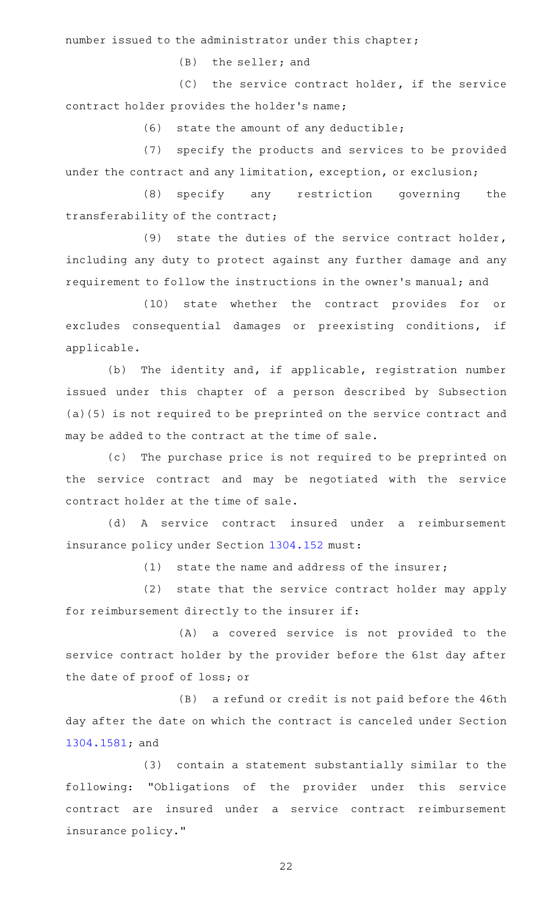number issued to the administrator under this chapter;

 $(B)$  the seller; and

(C) the service contract holder, if the service contract holder provides the holder 's name;

 $(6)$  state the amount of any deductible;

(7) specify the products and services to be provided under the contract and any limitation, exception, or exclusion;

(8) specify any restriction governing the transferability of the contract;

(9) state the duties of the service contract holder, including any duty to protect against any further damage and any requirement to follow the instructions in the owner 's manual; and

(10) state whether the contract provides for or excludes consequential damages or preexisting conditions, if applicable.

(b) The identity and, if applicable, registration number issued under this chapter of a person described by Subsection (a)(5) is not required to be preprinted on the service contract and may be added to the contract at the time of sale.

(c) The purchase price is not required to be preprinted on the service contract and may be negotiated with the service contract holder at the time of sale.

(d)AAA service contract insured under a reimbursement insurance policy under Section [1304.152](https://statutes.capitol.texas.gov/GetStatute.aspx?Code=OC&Value=1304.152) must:

(1) state the name and address of the insurer;

(2) state that the service contract holder may apply for reimbursement directly to the insurer if:

(A) a covered service is not provided to the service contract holder by the provider before the 61st day after the date of proof of loss; or

 $(B)$  a refund or credit is not paid before the 46th day after the date on which the contract is canceled under Section [1304.1581;](https://statutes.capitol.texas.gov/GetStatute.aspx?Code=OC&Value=1304.1581) and

(3) contain a statement substantially similar to the following: "Obligations of the provider under this service contract are insured under a service contract reimbursement insurance policy."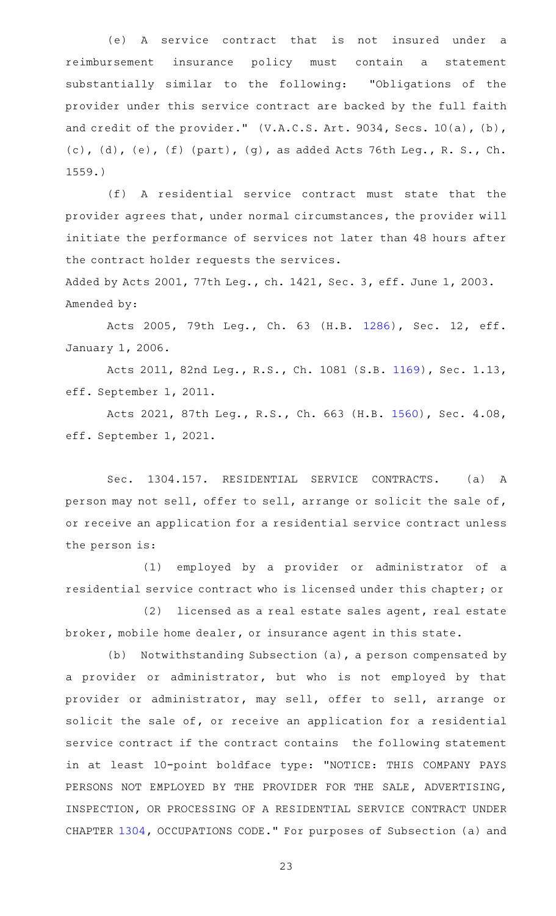(e)AAA service contract that is not insured under a reimbursement insurance policy must contain a statement substantially similar to the following: "Obligations of the provider under this service contract are backed by the full faith and credit of the provider." (V.A.C.S. Art. 9034, Secs. 10(a), (b), (c), (d), (e), (f) (part), (g), as added Acts 76th Leg., R. S., Ch. 1559.)

(f)AAA residential service contract must state that the provider agrees that, under normal circumstances, the provider will initiate the performance of services not later than 48 hours after the contract holder requests the services.

Added by Acts 2001, 77th Leg., ch. 1421, Sec. 3, eff. June 1, 2003. Amended by:

Acts 2005, 79th Leg., Ch. 63 (H.B. [1286\)](http://www.legis.state.tx.us/tlodocs/79R/billtext/html/HB01286F.HTM), Sec. 12, eff. January 1, 2006.

Acts 2011, 82nd Leg., R.S., Ch. 1081 (S.B. [1169](http://www.legis.state.tx.us/tlodocs/82R/billtext/html/SB01169F.HTM)), Sec. 1.13, eff. September 1, 2011.

Acts 2021, 87th Leg., R.S., Ch. 663 (H.B. [1560\)](http://www.legis.state.tx.us/tlodocs/87R/billtext/html/HB01560F.HTM), Sec. 4.08, eff. September 1, 2021.

Sec. 1304.157. RESIDENTIAL SERVICE CONTRACTS. (a) A person may not sell, offer to sell, arrange or solicit the sale of, or receive an application for a residential service contract unless the person is:

(1) employed by a provider or administrator of a residential service contract who is licensed under this chapter; or

(2) licensed as a real estate sales agent, real estate broker, mobile home dealer, or insurance agent in this state.

(b) Notwithstanding Subsection (a), a person compensated by a provider or administrator, but who is not employed by that provider or administrator, may sell, offer to sell, arrange or solicit the sale of, or receive an application for a residential service contract if the contract contains the following statement in at least 10-point boldface type: "NOTICE: THIS COMPANY PAYS PERSONS NOT EMPLOYED BY THE PROVIDER FOR THE SALE, ADVERTISING, INSPECTION, OR PROCESSING OF A RESIDENTIAL SERVICE CONTRACT UNDER CHAPTER [1304](https://statutes.capitol.texas.gov/GetStatute.aspx?Code=OC&Value=1304), OCCUPATIONS CODE." For purposes of Subsection (a) and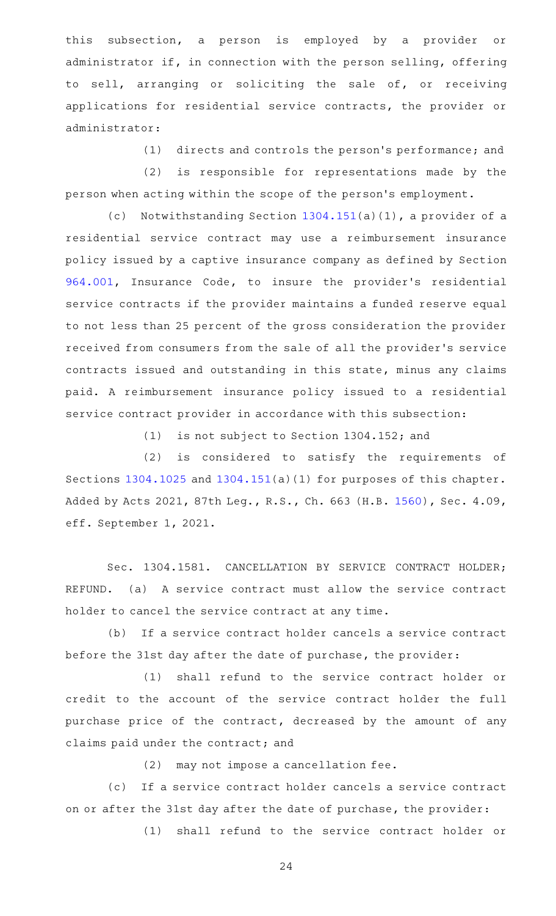this subsection, a person is employed by a provider or administrator if, in connection with the person selling, offering to sell, arranging or soliciting the sale of, or receiving applications for residential service contracts, the provider or administrator:

(1) directs and controls the person's performance; and

(2) is responsible for representations made by the person when acting within the scope of the person 's employment.

(c) Notwithstanding Section  $1304.151(a)(1)$  $1304.151(a)(1)$ , a provider of a residential service contract may use a reimbursement insurance policy issued by a captive insurance company as defined by Section [964.001,](https://statutes.capitol.texas.gov/GetStatute.aspx?Code=IN&Value=964.001) Insurance Code, to insure the provider's residential service contracts if the provider maintains a funded reserve equal to not less than 25 percent of the gross consideration the provider received from consumers from the sale of all the provider 's service contracts issued and outstanding in this state, minus any claims paid. A reimbursement insurance policy issued to a residential service contract provider in accordance with this subsection:

(1) is not subject to Section 1304.152; and

 $(2)$  is considered to satisfy the requirements of Sections [1304.1025](https://statutes.capitol.texas.gov/GetStatute.aspx?Code=OC&Value=1304.1025) and [1304.151](https://statutes.capitol.texas.gov/GetStatute.aspx?Code=OC&Value=1304.151)(a)(1) for purposes of this chapter. Added by Acts 2021, 87th Leg., R.S., Ch. 663 (H.B. [1560](http://www.legis.state.tx.us/tlodocs/87R/billtext/html/HB01560F.HTM)), Sec. 4.09, eff. September 1, 2021.

Sec. 1304.1581. CANCELLATION BY SERVICE CONTRACT HOLDER; REFUND. (a) A service contract must allow the service contract holder to cancel the service contract at any time.

(b) If a service contract holder cancels a service contract before the 31st day after the date of purchase, the provider:

(1) shall refund to the service contract holder or credit to the account of the service contract holder the full purchase price of the contract, decreased by the amount of any claims paid under the contract; and

(2) may not impose a cancellation fee.

(c) If a service contract holder cancels a service contract on or after the 31st day after the date of purchase, the provider:

(1) shall refund to the service contract holder or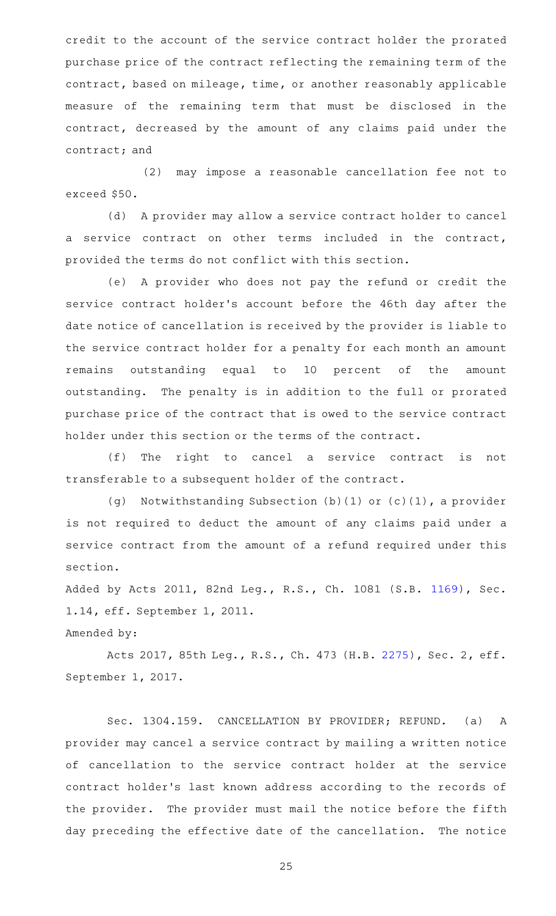credit to the account of the service contract holder the prorated purchase price of the contract reflecting the remaining term of the contract, based on mileage, time, or another reasonably applicable measure of the remaining term that must be disclosed in the contract, decreased by the amount of any claims paid under the contract; and

(2) may impose a reasonable cancellation fee not to exceed \$50.

(d) A provider may allow a service contract holder to cancel a service contract on other terms included in the contract, provided the terms do not conflict with this section.

(e)AAA provider who does not pay the refund or credit the service contract holder 's account before the 46th day after the date notice of cancellation is received by the provider is liable to the service contract holder for a penalty for each month an amount remains outstanding equal to 10 percent of the amount outstanding. The penalty is in addition to the full or prorated purchase price of the contract that is owed to the service contract holder under this section or the terms of the contract.

(f) The right to cancel a service contract is not transferable to a subsequent holder of the contract.

(g) Notwithstanding Subsection  $(b)(1)$  or  $(c)(1)$ , a provider is not required to deduct the amount of any claims paid under a service contract from the amount of a refund required under this section.

Added by Acts 2011, 82nd Leg., R.S., Ch. 1081 (S.B. [1169](http://www.legis.state.tx.us/tlodocs/82R/billtext/html/SB01169F.HTM)), Sec. 1.14, eff. September 1, 2011.

### Amended by:

Acts 2017, 85th Leg., R.S., Ch. 473 (H.B. [2275](http://www.legis.state.tx.us/tlodocs/85R/billtext/html/HB02275F.HTM)), Sec. 2, eff. September 1, 2017.

Sec. 1304.159. CANCELLATION BY PROVIDER; REFUND. (a) A provider may cancel a service contract by mailing a written notice of cancellation to the service contract holder at the service contract holder 's last known address according to the records of the provider. The provider must mail the notice before the fifth day preceding the effective date of the cancellation. The notice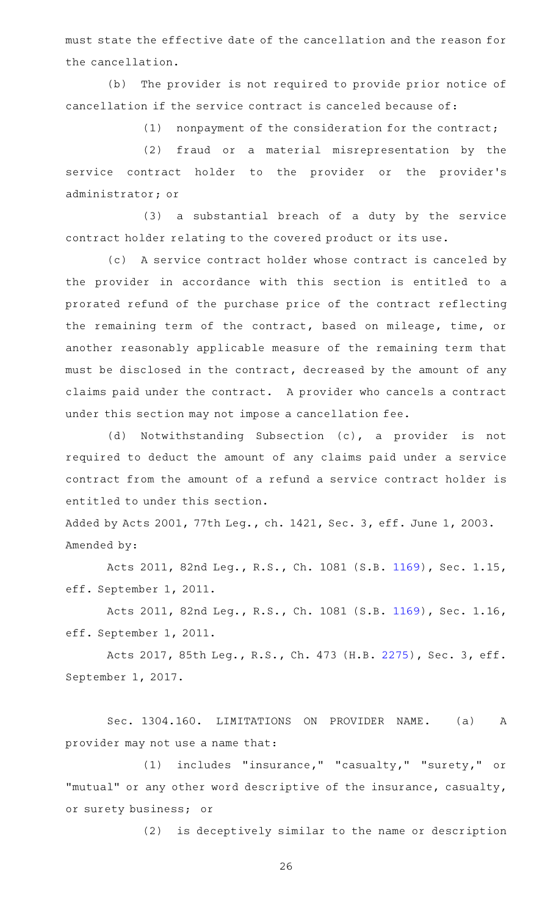must state the effective date of the cancellation and the reason for the cancellation.

(b) The provider is not required to provide prior notice of cancellation if the service contract is canceled because of:

 $(1)$  nonpayment of the consideration for the contract;

(2) fraud or a material misrepresentation by the service contract holder to the provider or the provider 's administrator; or

 $(3)$  a substantial breach of a duty by the service contract holder relating to the covered product or its use.

(c) A service contract holder whose contract is canceled by the provider in accordance with this section is entitled to a prorated refund of the purchase price of the contract reflecting the remaining term of the contract, based on mileage, time, or another reasonably applicable measure of the remaining term that must be disclosed in the contract, decreased by the amount of any claims paid under the contract. A provider who cancels a contract under this section may not impose a cancellation fee.

(d) Notwithstanding Subsection (c), a provider is not required to deduct the amount of any claims paid under a service contract from the amount of a refund a service contract holder is entitled to under this section.

Added by Acts 2001, 77th Leg., ch. 1421, Sec. 3, eff. June 1, 2003. Amended by:

Acts 2011, 82nd Leg., R.S., Ch. 1081 (S.B. [1169](http://www.legis.state.tx.us/tlodocs/82R/billtext/html/SB01169F.HTM)), Sec. 1.15, eff. September 1, 2011.

Acts 2011, 82nd Leg., R.S., Ch. 1081 (S.B. [1169](http://www.legis.state.tx.us/tlodocs/82R/billtext/html/SB01169F.HTM)), Sec. 1.16, eff. September 1, 2011.

Acts 2017, 85th Leg., R.S., Ch. 473 (H.B. [2275](http://www.legis.state.tx.us/tlodocs/85R/billtext/html/HB02275F.HTM)), Sec. 3, eff. September 1, 2017.

Sec. 1304.160. LIMITATIONS ON PROVIDER NAME. (a) A provider may not use a name that:

(1) includes "insurance," "casualty," "surety," or "mutual" or any other word descriptive of the insurance, casualty, or surety business; or

(2) is deceptively similar to the name or description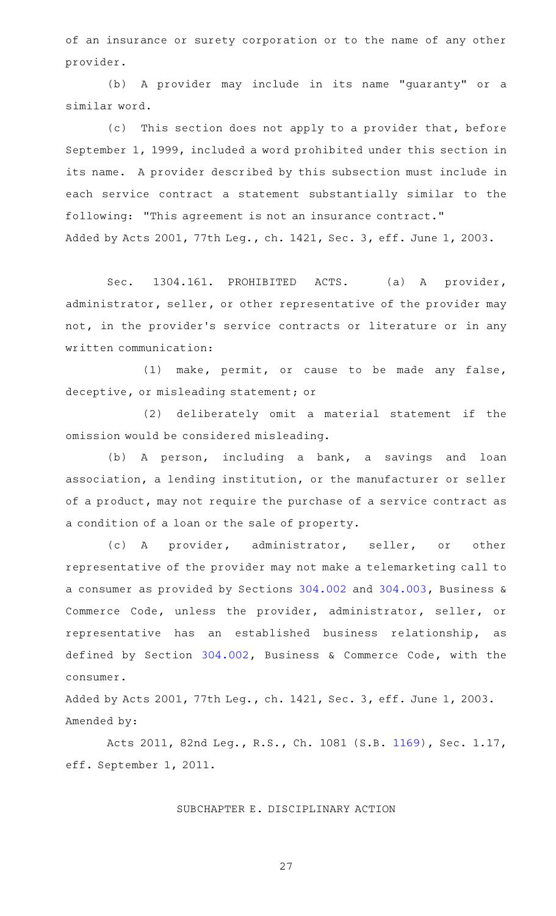of an insurance or surety corporation or to the name of any other provider.

(b) A provider may include in its name "guaranty" or a similar word.

(c) This section does not apply to a provider that, before September 1, 1999, included a word prohibited under this section in its name. A provider described by this subsection must include in each service contract a statement substantially similar to the following: "This agreement is not an insurance contract." Added by Acts 2001, 77th Leg., ch. 1421, Sec. 3, eff. June 1, 2003.

Sec. 1304.161. PROHIBITED ACTS. (a) A provider, administrator, seller, or other representative of the provider may not, in the provider 's service contracts or literature or in any written communication:

(1) make, permit, or cause to be made any false, deceptive, or misleading statement; or

(2) deliberately omit a material statement if the omission would be considered misleading.

(b) A person, including a bank, a savings and loan association, a lending institution, or the manufacturer or seller of a product, may not require the purchase of a service contract as a condition of a loan or the sale of property.

(c)AAA provider, administrator, seller, or other representative of the provider may not make a telemarketing call to a consumer as provided by Sections [304.002](https://statutes.capitol.texas.gov/GetStatute.aspx?Code=BC&Value=304.002) and [304.003,](https://statutes.capitol.texas.gov/GetStatute.aspx?Code=BC&Value=304.003) Business & Commerce Code, unless the provider, administrator, seller, or representative has an established business relationship, as defined by Section [304.002](https://statutes.capitol.texas.gov/GetStatute.aspx?Code=BC&Value=304.002), Business & Commerce Code, with the consumer.

Added by Acts 2001, 77th Leg., ch. 1421, Sec. 3, eff. June 1, 2003. Amended by:

Acts 2011, 82nd Leg., R.S., Ch. 1081 (S.B. [1169](http://www.legis.state.tx.us/tlodocs/82R/billtext/html/SB01169F.HTM)), Sec. 1.17, eff. September 1, 2011.

#### SUBCHAPTER E. DISCIPLINARY ACTION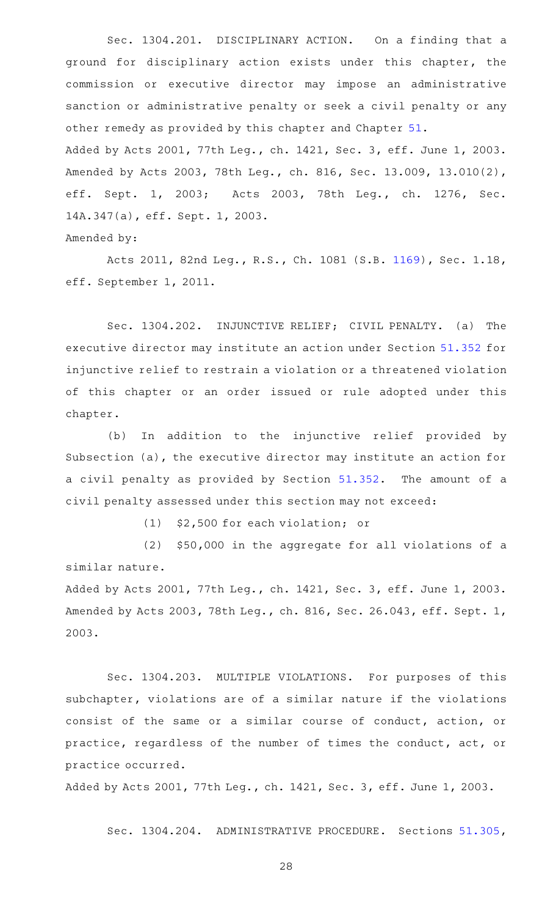Sec. 1304.201. DISCIPLINARY ACTION. On a finding that a ground for disciplinary action exists under this chapter, the commission or executive director may impose an administrative sanction or administrative penalty or seek a civil penalty or any other remedy as provided by this chapter and Chapter [51](https://statutes.capitol.texas.gov/GetStatute.aspx?Code=OC&Value=51). Added by Acts 2001, 77th Leg., ch. 1421, Sec. 3, eff. June 1, 2003.

Amended by Acts 2003, 78th Leg., ch. 816, Sec. 13.009, 13.010(2), eff. Sept. 1, 2003; Acts 2003, 78th Leg., ch. 1276, Sec. 14A.347(a), eff. Sept. 1, 2003.

Amended by:

Acts 2011, 82nd Leg., R.S., Ch. 1081 (S.B. [1169](http://www.legis.state.tx.us/tlodocs/82R/billtext/html/SB01169F.HTM)), Sec. 1.18, eff. September 1, 2011.

Sec. 1304.202. INJUNCTIVE RELIEF; CIVIL PENALTY. (a) The executive director may institute an action under Section [51.352](https://statutes.capitol.texas.gov/GetStatute.aspx?Code=OC&Value=51.352) for injunctive relief to restrain a violation or a threatened violation of this chapter or an order issued or rule adopted under this chapter.

(b) In addition to the injunctive relief provided by Subsection (a), the executive director may institute an action for a civil penalty as provided by Section [51.352.](https://statutes.capitol.texas.gov/GetStatute.aspx?Code=OC&Value=51.352) The amount of a civil penalty assessed under this section may not exceed:

(1) \$2,500 for each violation; or

 $(2)$  \$50,000 in the aggregate for all violations of a similar nature.

Added by Acts 2001, 77th Leg., ch. 1421, Sec. 3, eff. June 1, 2003. Amended by Acts 2003, 78th Leg., ch. 816, Sec. 26.043, eff. Sept. 1, 2003.

Sec. 1304.203. MULTIPLE VIOLATIONS. For purposes of this subchapter, violations are of a similar nature if the violations consist of the same or a similar course of conduct, action, or practice, regardless of the number of times the conduct, act, or practice occurred.

Added by Acts 2001, 77th Leg., ch. 1421, Sec. 3, eff. June 1, 2003.

Sec. 1304.204. ADMINISTRATIVE PROCEDURE. Sections [51.305](https://statutes.capitol.texas.gov/GetStatute.aspx?Code=OC&Value=51.305),